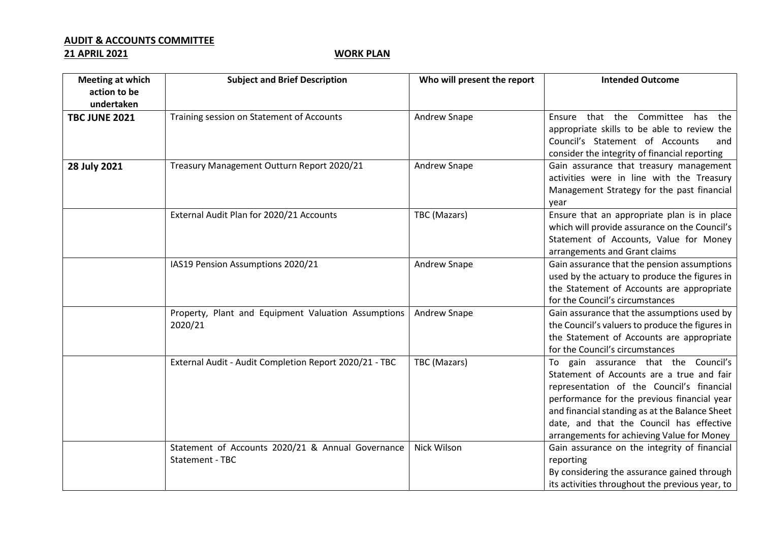## **AUDIT & ACCOUNTS COMMITTEE**

## **21 APRIL 2021 WORK PLAN**

| <b>Meeting at which</b><br>action to be | <b>Subject and Brief Description</b>                                 | Who will present the report | <b>Intended Outcome</b>                                                                                                                                                                                                                                                                                                   |
|-----------------------------------------|----------------------------------------------------------------------|-----------------------------|---------------------------------------------------------------------------------------------------------------------------------------------------------------------------------------------------------------------------------------------------------------------------------------------------------------------------|
| undertaken                              |                                                                      |                             |                                                                                                                                                                                                                                                                                                                           |
| <b>TBC JUNE 2021</b>                    | Training session on Statement of Accounts                            | Andrew Snape                | Ensure that the Committee has the<br>appropriate skills to be able to review the<br>Council's Statement of Accounts<br>and<br>consider the integrity of financial reporting                                                                                                                                               |
| 28 July 2021                            | Treasury Management Outturn Report 2020/21                           | Andrew Snape                | Gain assurance that treasury management<br>activities were in line with the Treasury<br>Management Strategy for the past financial<br>year                                                                                                                                                                                |
|                                         | External Audit Plan for 2020/21 Accounts                             | TBC (Mazars)                | Ensure that an appropriate plan is in place<br>which will provide assurance on the Council's<br>Statement of Accounts, Value for Money<br>arrangements and Grant claims                                                                                                                                                   |
|                                         | IAS19 Pension Assumptions 2020/21                                    | Andrew Snape                | Gain assurance that the pension assumptions<br>used by the actuary to produce the figures in<br>the Statement of Accounts are appropriate<br>for the Council's circumstances                                                                                                                                              |
|                                         | Property, Plant and Equipment Valuation Assumptions<br>2020/21       | Andrew Snape                | Gain assurance that the assumptions used by<br>the Council's valuers to produce the figures in<br>the Statement of Accounts are appropriate<br>for the Council's circumstances                                                                                                                                            |
|                                         | External Audit - Audit Completion Report 2020/21 - TBC               | TBC (Mazars)                | To gain assurance that the Council's<br>Statement of Accounts are a true and fair<br>representation of the Council's financial<br>performance for the previous financial year<br>and financial standing as at the Balance Sheet<br>date, and that the Council has effective<br>arrangements for achieving Value for Money |
|                                         | Statement of Accounts 2020/21 & Annual Governance<br>Statement - TBC | Nick Wilson                 | Gain assurance on the integrity of financial<br>reporting<br>By considering the assurance gained through<br>its activities throughout the previous year, to                                                                                                                                                               |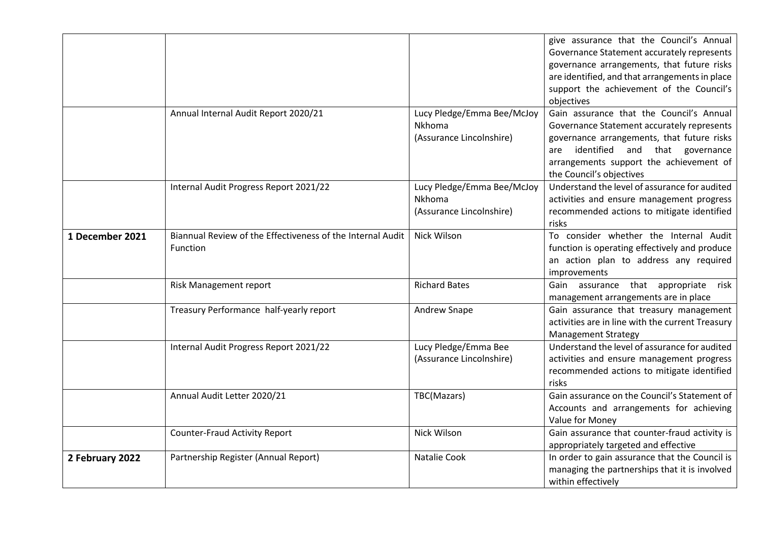|                 |                                                                        |                                                                         | give assurance that the Council's Annual<br>Governance Statement accurately represents<br>governance arrangements, that future risks<br>are identified, and that arrangements in place<br>support the achievement of the Council's<br>objectives     |
|-----------------|------------------------------------------------------------------------|-------------------------------------------------------------------------|------------------------------------------------------------------------------------------------------------------------------------------------------------------------------------------------------------------------------------------------------|
|                 | Annual Internal Audit Report 2020/21                                   | Lucy Pledge/Emma Bee/McJoy<br><b>Nkhoma</b><br>(Assurance Lincolnshire) | Gain assurance that the Council's Annual<br>Governance Statement accurately represents<br>governance arrangements, that future risks<br>identified and that governance<br>are<br>arrangements support the achievement of<br>the Council's objectives |
|                 | Internal Audit Progress Report 2021/22                                 | Lucy Pledge/Emma Bee/McJoy<br><b>Nkhoma</b><br>(Assurance Lincolnshire) | Understand the level of assurance for audited<br>activities and ensure management progress<br>recommended actions to mitigate identified<br>risks                                                                                                    |
| 1 December 2021 | Biannual Review of the Effectiveness of the Internal Audit<br>Function | Nick Wilson                                                             | To consider whether the Internal Audit<br>function is operating effectively and produce<br>an action plan to address any required<br>improvements                                                                                                    |
|                 | Risk Management report                                                 | <b>Richard Bates</b>                                                    | Gain assurance that appropriate<br>risk<br>management arrangements are in place                                                                                                                                                                      |
|                 | Treasury Performance half-yearly report                                | Andrew Snape                                                            | Gain assurance that treasury management<br>activities are in line with the current Treasury<br><b>Management Strategy</b>                                                                                                                            |
|                 | Internal Audit Progress Report 2021/22                                 | Lucy Pledge/Emma Bee<br>(Assurance Lincolnshire)                        | Understand the level of assurance for audited<br>activities and ensure management progress<br>recommended actions to mitigate identified<br>risks                                                                                                    |
|                 | Annual Audit Letter 2020/21                                            | TBC(Mazars)                                                             | Gain assurance on the Council's Statement of<br>Accounts and arrangements for achieving<br>Value for Money                                                                                                                                           |
|                 | <b>Counter-Fraud Activity Report</b>                                   | Nick Wilson                                                             | Gain assurance that counter-fraud activity is<br>appropriately targeted and effective                                                                                                                                                                |
| 2 February 2022 | Partnership Register (Annual Report)                                   | Natalie Cook                                                            | In order to gain assurance that the Council is<br>managing the partnerships that it is involved<br>within effectively                                                                                                                                |